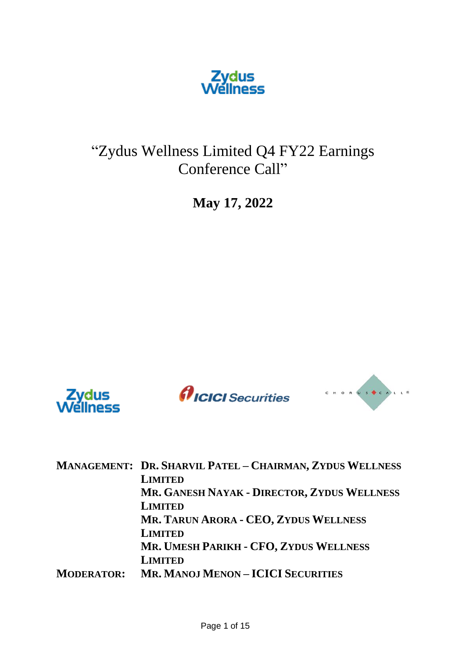

"Zydus Wellness Limited Q4 FY22 Earnings Conference Call"

**May 17, 2022**







|                   | MANAGEMENT: DR. SHARVIL PATEL - CHAIRMAN, ZYDUS WELLNESS |
|-------------------|----------------------------------------------------------|
|                   | <b>LIMITED</b>                                           |
|                   | MR. GANESH NAYAK - DIRECTOR, ZYDUS WELLNESS              |
|                   | <b>LIMITED</b>                                           |
|                   | MR. TARUN ARORA - CEO, ZYDUS WELLNESS                    |
|                   | <b>LIMITED</b>                                           |
|                   | MR. UMESH PARIKH - CFO, ZYDUS WELLNESS                   |
|                   | <b>LIMITED</b>                                           |
| <b>MODERATOR:</b> | <b>MR. MANOJ MENON - ICICI SECURITIES</b>                |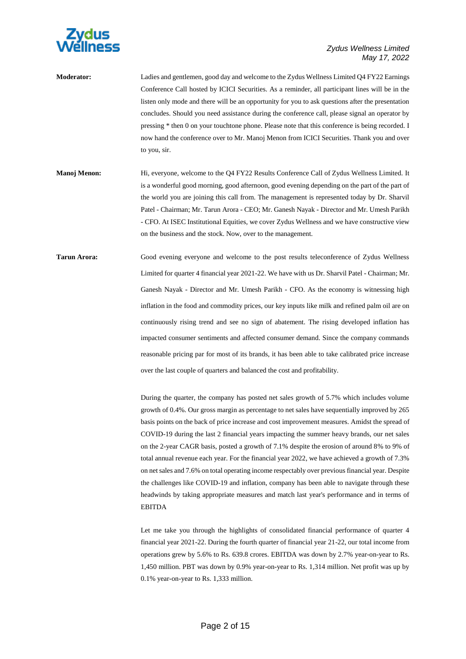

- **Moderator:** Ladies and gentlemen, good day and welcome to the Zydus Wellness Limited Q4 FY22 Earnings Conference Call hosted by ICICI Securities. As a reminder, all participant lines will be in the listen only mode and there will be an opportunity for you to ask questions after the presentation concludes. Should you need assistance during the conference call, please signal an operator by pressing \* then 0 on your touchtone phone. Please note that this conference is being recorded. I now hand the conference over to Mr. Manoj Menon from ICICI Securities. Thank you and over to you, sir.
- **Manoj Menon:** Hi, everyone, welcome to the Q4 FY22 Results Conference Call of Zydus Wellness Limited. It is a wonderful good morning, good afternoon, good evening depending on the part of the part of the world you are joining this call from. The management is represented today by Dr. Sharvil Patel - Chairman; Mr. Tarun Arora - CEO; Mr. Ganesh Nayak - Director and Mr. Umesh Parikh - CFO. At ISEC Institutional Equities, we cover Zydus Wellness and we have constructive view on the business and the stock. Now, over to the management.
- **Tarun Arora:** Good evening everyone and welcome to the post results teleconference of Zydus Wellness Limited for quarter 4 financial year 2021-22. We have with us Dr. Sharvil Patel - Chairman; Mr. Ganesh Nayak - Director and Mr. Umesh Parikh - CFO. As the economy is witnessing high inflation in the food and commodity prices, our key inputs like milk and refined palm oil are on continuously rising trend and see no sign of abatement. The rising developed inflation has impacted consumer sentiments and affected consumer demand. Since the company commands reasonable pricing par for most of its brands, it has been able to take calibrated price increase over the last couple of quarters and balanced the cost and profitability.

During the quarter, the company has posted net sales growth of 5.7% which includes volume growth of 0.4%. Our gross margin as percentage to net sales have sequentially improved by 265 basis points on the back of price increase and cost improvement measures. Amidst the spread of COVID-19 during the last 2 financial years impacting the summer heavy brands, our net sales on the 2-year CAGR basis, posted a growth of 7.1% despite the erosion of around 8% to 9% of total annual revenue each year. For the financial year 2022, we have achieved a growth of 7.3% on net sales and 7.6% on total operating income respectably over previous financial year. Despite the challenges like COVID-19 and inflation, company has been able to navigate through these headwinds by taking appropriate measures and match last year's performance and in terms of EBITDA

Let me take you through the highlights of consolidated financial performance of quarter 4 financial year 2021-22. During the fourth quarter of financial year 21-22, our total income from operations grew by 5.6% to Rs. 639.8 crores. EBITDA was down by 2.7% year-on-year to Rs. 1,450 million. PBT was down by 0.9% year-on-year to Rs. 1,314 million. Net profit was up by 0.1% year-on-year to Rs. 1,333 million.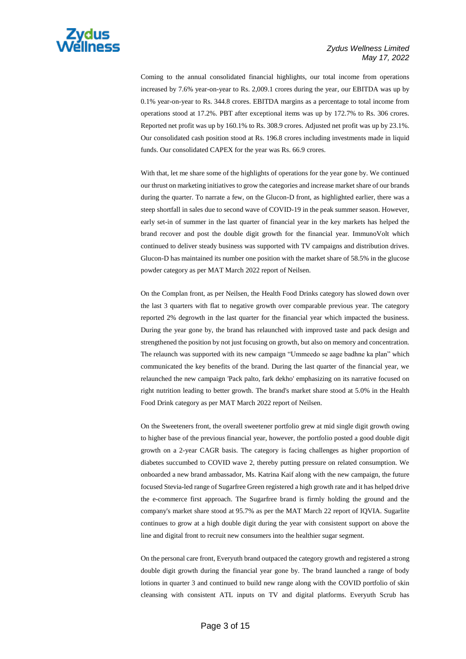

Coming to the annual consolidated financial highlights, our total income from operations increased by 7.6% year-on-year to Rs. 2,009.1 crores during the year, our EBITDA was up by 0.1% year-on-year to Rs. 344.8 crores. EBITDA margins as a percentage to total income from operations stood at 17.2%. PBT after exceptional items was up by 172.7% to Rs. 306 crores. Reported net profit was up by 160.1% to Rs. 308.9 crores. Adjusted net profit was up by 23.1%. Our consolidated cash position stood at Rs. 196.8 crores including investments made in liquid funds. Our consolidated CAPEX for the year was Rs. 66.9 crores.

With that, let me share some of the highlights of operations for the year gone by. We continued our thrust on marketing initiatives to grow the categories and increase market share of our brands during the quarter. To narrate a few, on the Glucon-D front, as highlighted earlier, there was a steep shortfall in sales due to second wave of COVID-19 in the peak summer season. However, early set-in of summer in the last quarter of financial year in the key markets has helped the brand recover and post the double digit growth for the financial year. ImmunoVolt which continued to deliver steady business was supported with TV campaigns and distribution drives. Glucon-D has maintained its number one position with the market share of 58.5% in the glucose powder category as per MAT March 2022 report of Neilsen.

On the Complan front, as per Neilsen, the Health Food Drinks category has slowed down over the last 3 quarters with flat to negative growth over comparable previous year. The category reported 2% degrowth in the last quarter for the financial year which impacted the business. During the year gone by, the brand has relaunched with improved taste and pack design and strengthened the position by not just focusing on growth, but also on memory and concentration. The relaunch was supported with its new campaign "Ummeedo se aage badhne ka plan" which communicated the key benefits of the brand. During the last quarter of the financial year, we relaunched the new campaign 'Pack palto, fark dekho' emphasizing on its narrative focused on right nutrition leading to better growth. The brand's market share stood at 5.0% in the Health Food Drink category as per MAT March 2022 report of Neilsen.

On the Sweeteners front, the overall sweetener portfolio grew at mid single digit growth owing to higher base of the previous financial year, however, the portfolio posted a good double digit growth on a 2-year CAGR basis. The category is facing challenges as higher proportion of diabetes succumbed to COVID wave 2, thereby putting pressure on related consumption. We onboarded a new brand ambassador, Ms. Katrina Kaif along with the new campaign, the future focused Stevia-led range of Sugarfree Green registered a high growth rate and it has helped drive the e-commerce first approach. The Sugarfree brand is firmly holding the ground and the company's market share stood at 95.7% as per the MAT March 22 report of IQVIA. Sugarlite continues to grow at a high double digit during the year with consistent support on above the line and digital front to recruit new consumers into the healthier sugar segment.

On the personal care front, Everyuth brand outpaced the category growth and registered a strong double digit growth during the financial year gone by. The brand launched a range of body lotions in quarter 3 and continued to build new range along with the COVID portfolio of skin cleansing with consistent ATL inputs on TV and digital platforms. Everyuth Scrub has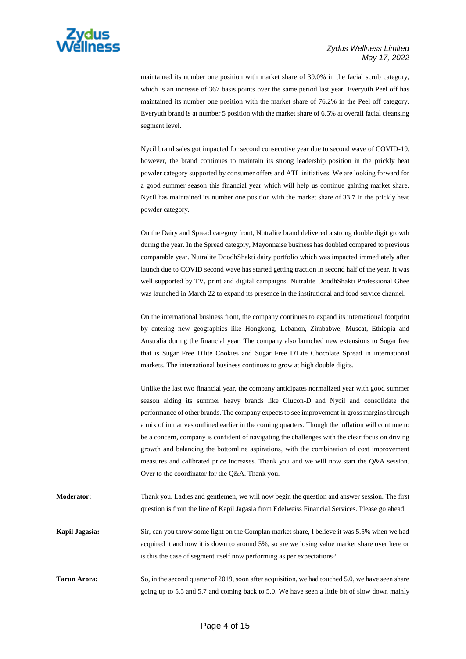

maintained its number one position with market share of 39.0% in the facial scrub category, which is an increase of 367 basis points over the same period last year. Everyuth Peel off has maintained its number one position with the market share of 76.2% in the Peel off category. Everyuth brand is at number 5 position with the market share of 6.5% at overall facial cleansing segment level.

Nycil brand sales got impacted for second consecutive year due to second wave of COVID-19, however, the brand continues to maintain its strong leadership position in the prickly heat powder category supported by consumer offers and ATL initiatives. We are looking forward for a good summer season this financial year which will help us continue gaining market share. Nycil has maintained its number one position with the market share of 33.7 in the prickly heat powder category.

On the Dairy and Spread category front, Nutralite brand delivered a strong double digit growth during the year. In the Spread category, Mayonnaise business has doubled compared to previous comparable year. Nutralite DoodhShakti dairy portfolio which was impacted immediately after launch due to COVID second wave has started getting traction in second half of the year. It was well supported by TV, print and digital campaigns. Nutralite DoodhShakti Professional Ghee was launched in March 22 to expand its presence in the institutional and food service channel.

On the international business front, the company continues to expand its international footprint by entering new geographies like Hongkong, Lebanon, Zimbabwe, Muscat, Ethiopia and Australia during the financial year. The company also launched new extensions to Sugar free that is Sugar Free D'lite Cookies and Sugar Free D'Lite Chocolate Spread in international markets. The international business continues to grow at high double digits.

Unlike the last two financial year, the company anticipates normalized year with good summer season aiding its summer heavy brands like Glucon-D and Nycil and consolidate the performance of other brands. The company expects to see improvement in gross margins through a mix of initiatives outlined earlier in the coming quarters. Though the inflation will continue to be a concern, company is confident of navigating the challenges with the clear focus on driving growth and balancing the bottomline aspirations, with the combination of cost improvement measures and calibrated price increases. Thank you and we will now start the Q&A session. Over to the coordinator for the Q&A. Thank you.

**Moderator:** Thank you. Ladies and gentlemen, we will now begin the question and answer session. The first question is from the line of Kapil Jagasia from Edelweiss Financial Services. Please go ahead.

**Kapil Jagasia:** Sir, can you throw some light on the Complan market share, I believe it was 5.5% when we had acquired it and now it is down to around 5%, so are we losing value market share over here or is this the case of segment itself now performing as per expectations?

**Tarun Arora:** So, in the second quarter of 2019, soon after acquisition, we had touched 5.0, we have seen share going up to 5.5 and 5.7 and coming back to 5.0. We have seen a little bit of slow down mainly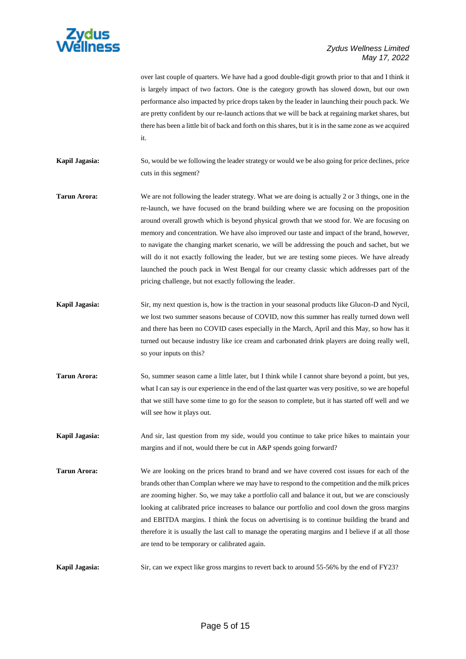

|                | over last couple of quarters. We have had a good double-digit growth prior to that and I think it<br>is largely impact of two factors. One is the category growth has slowed down, but our own<br>performance also impacted by price drops taken by the leader in launching their pouch pack. We<br>are pretty confident by our re-launch actions that we will be back at regaining market shares, but<br>there has been a little bit of back and forth on this shares, but it is in the same zone as we acquired<br>it.                                                                                                                                                                                                                              |
|----------------|-------------------------------------------------------------------------------------------------------------------------------------------------------------------------------------------------------------------------------------------------------------------------------------------------------------------------------------------------------------------------------------------------------------------------------------------------------------------------------------------------------------------------------------------------------------------------------------------------------------------------------------------------------------------------------------------------------------------------------------------------------|
| Kapil Jagasia: | So, would be we following the leader strategy or would we be also going for price declines, price<br>cuts in this segment?                                                                                                                                                                                                                                                                                                                                                                                                                                                                                                                                                                                                                            |
| Tarun Arora:   | We are not following the leader strategy. What we are doing is actually 2 or 3 things, one in the<br>re-launch, we have focused on the brand building where we are focusing on the proposition<br>around overall growth which is beyond physical growth that we stood for. We are focusing on<br>memory and concentration. We have also improved our taste and impact of the brand, however,<br>to navigate the changing market scenario, we will be addressing the pouch and sachet, but we<br>will do it not exactly following the leader, but we are testing some pieces. We have already<br>launched the pouch pack in West Bengal for our creamy classic which addresses part of the<br>pricing challenge, but not exactly following the leader. |
| Kapil Jagasia: | Sir, my next question is, how is the traction in your seasonal products like Glucon-D and Nycil,<br>we lost two summer seasons because of COVID, now this summer has really turned down well<br>and there has been no COVID cases especially in the March, April and this May, so how has it<br>turned out because industry like ice cream and carbonated drink players are doing really well,<br>so your inputs on this?                                                                                                                                                                                                                                                                                                                             |
| Tarun Arora:   | So, summer season came a little later, but I think while I cannot share beyond a point, but yes,<br>what I can say is our experience in the end of the last quarter was very positive, so we are hopeful<br>that we still have some time to go for the season to complete, but it has started off well and we<br>will see how it plays out.                                                                                                                                                                                                                                                                                                                                                                                                           |
| Kapil Jagasia: | And sir, last question from my side, would you continue to take price hikes to maintain your<br>margins and if not, would there be cut in A&P spends going forward?                                                                                                                                                                                                                                                                                                                                                                                                                                                                                                                                                                                   |

**Tarun Arora:** We are looking on the prices brand to brand and we have covered cost issues for each of the brands other than Complan where we may have to respond to the competition and the milk prices are zooming higher. So, we may take a portfolio call and balance it out, but we are consciously looking at calibrated price increases to balance our portfolio and cool down the gross margins and EBITDA margins. I think the focus on advertising is to continue building the brand and therefore it is usually the last call to manage the operating margins and I believe if at all those are tend to be temporary or calibrated again.

**Kapil Jagasia:** Sir, can we expect like gross margins to revert back to around 55-56% by the end of FY23?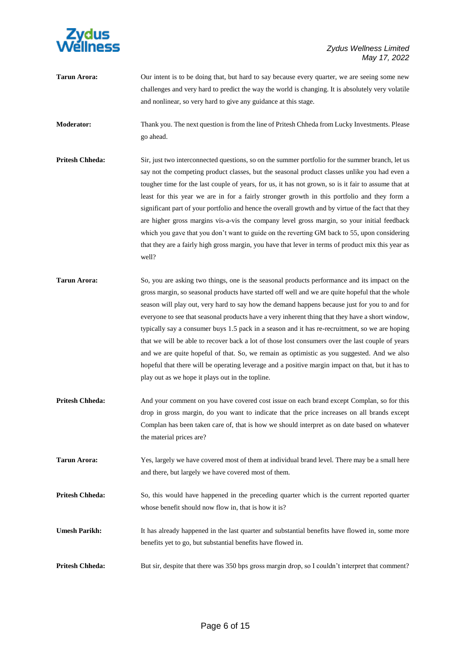

**Tarun Arora:** Our intent is to be doing that, but hard to say because every quarter, we are seeing some new challenges and very hard to predict the way the world is changing. It is absolutely very volatile and nonlinear, so very hard to give any guidance at this stage.

**Moderator:** Thank you. The next question is from the line of Pritesh Chheda from Lucky Investments. Please go ahead.

- **Pritesh Chheda:** Sir, just two interconnected questions, so on the summer portfolio for the summer branch, let us say not the competing product classes, but the seasonal product classes unlike you had even a tougher time for the last couple of years, for us, it has not grown, so is it fair to assume that at least for this year we are in for a fairly stronger growth in this portfolio and they form a significant part of your portfolio and hence the overall growth and by virtue of the fact that they are higher gross margins vis-a-vis the company level gross margin, so your initial feedback which you gave that you don't want to guide on the reverting GM back to 55, upon considering that they are a fairly high gross margin, you have that lever in terms of product mix this year as well?
- **Tarun Arora:** So, you are asking two things, one is the seasonal products performance and its impact on the gross margin, so seasonal products have started off well and we are quite hopeful that the whole season will play out, very hard to say how the demand happens because just for you to and for everyone to see that seasonal products have a very inherent thing that they have a short window, typically say a consumer buys 1.5 pack in a season and it has re-recruitment, so we are hoping that we will be able to recover back a lot of those lost consumers over the last couple of years and we are quite hopeful of that. So, we remain as optimistic as you suggested. And we also hopeful that there will be operating leverage and a positive margin impact on that, but it has to play out as we hope it plays out in the topline.
- **Pritesh Chheda:** And your comment on you have covered cost issue on each brand except Complan, so for this drop in gross margin, do you want to indicate that the price increases on all brands except Complan has been taken care of, that is how we should interpret as on date based on whatever the material prices are?
- **Tarun Arora:** Yes, largely we have covered most of them at individual brand level. There may be a small here and there, but largely we have covered most of them.
- **Pritesh Chheda:** So, this would have happened in the preceding quarter which is the current reported quarter whose benefit should now flow in, that is how it is?
- **Umesh Parikh:** It has already happened in the last quarter and substantial benefits have flowed in, some more benefits yet to go, but substantial benefits have flowed in.
- **Pritesh Chheda:** But sir, despite that there was 350 bps gross margin drop, so I couldn't interpret that comment?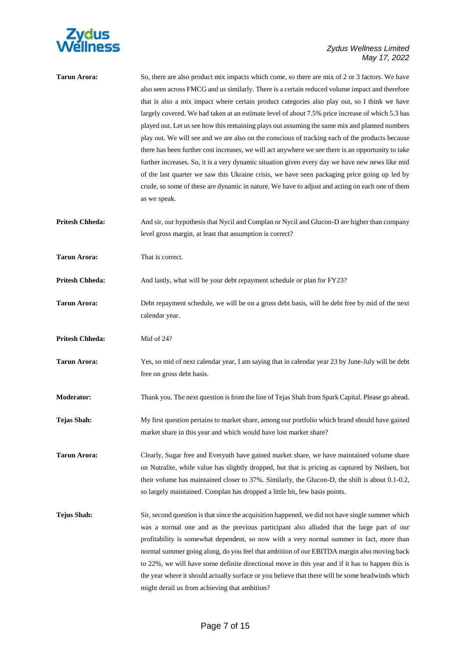

| <b>Tarun Arora:</b>    | So, there are also product mix impacts which come, so there are mix of 2 or 3 factors. We have<br>also seen across FMCG and us similarly. There is a certain reduced volume impact and therefore<br>that is also a mix impact where certain product categories also play out, so I think we have<br>largely covered. We had taken at an estimate level of about 7.5% price increase of which 5.3 has<br>played out. Let us see how this remaining plays out assuming the same mix and planned numbers<br>play out. We will see and we are also on the conscious of tracking each of the products because<br>there has been further cost increases, we will act anywhere we see there is an opportunity to take<br>further increases. So, it is a very dynamic situation given every day we have new news like mid<br>of the last quarter we saw this Ukraine crisis, we have seen packaging price going up led by<br>crude, so some of these are dynamic in nature. We have to adjust and acting on each one of them<br>as we speak. |
|------------------------|--------------------------------------------------------------------------------------------------------------------------------------------------------------------------------------------------------------------------------------------------------------------------------------------------------------------------------------------------------------------------------------------------------------------------------------------------------------------------------------------------------------------------------------------------------------------------------------------------------------------------------------------------------------------------------------------------------------------------------------------------------------------------------------------------------------------------------------------------------------------------------------------------------------------------------------------------------------------------------------------------------------------------------------|
| <b>Pritesh Chheda:</b> | And sir, our hypothesis that Nycil and Complan or Nycil and Glucon-D are higher than company<br>level gross margin, at least that assumption is correct?                                                                                                                                                                                                                                                                                                                                                                                                                                                                                                                                                                                                                                                                                                                                                                                                                                                                             |
| <b>Tarun Arora:</b>    | That is correct.                                                                                                                                                                                                                                                                                                                                                                                                                                                                                                                                                                                                                                                                                                                                                                                                                                                                                                                                                                                                                     |
| <b>Pritesh Chheda:</b> | And lastly, what will be your debt repayment schedule or plan for FY23?                                                                                                                                                                                                                                                                                                                                                                                                                                                                                                                                                                                                                                                                                                                                                                                                                                                                                                                                                              |
| <b>Tarun Arora:</b>    | Debt repayment schedule, we will be on a gross debt basis, will be debt free by mid of the next<br>calendar year.                                                                                                                                                                                                                                                                                                                                                                                                                                                                                                                                                                                                                                                                                                                                                                                                                                                                                                                    |
| <b>Pritesh Chheda:</b> | Mid of 24?                                                                                                                                                                                                                                                                                                                                                                                                                                                                                                                                                                                                                                                                                                                                                                                                                                                                                                                                                                                                                           |
| <b>Tarun Arora:</b>    | Yes, so mid of next calendar year, I am saying that in calendar year 23 by June-July will be debt<br>free on gross debt basis.                                                                                                                                                                                                                                                                                                                                                                                                                                                                                                                                                                                                                                                                                                                                                                                                                                                                                                       |
| <b>Moderator:</b>      | Thank you. The next question is from the line of Tejas Shah from Spark Capital. Please go ahead.                                                                                                                                                                                                                                                                                                                                                                                                                                                                                                                                                                                                                                                                                                                                                                                                                                                                                                                                     |
| Tejas Shah:            | My first question pertains to market share, among our portfolio which brand should have gained<br>market share in this year and which would have lost market share?                                                                                                                                                                                                                                                                                                                                                                                                                                                                                                                                                                                                                                                                                                                                                                                                                                                                  |
| <b>Tarun Arora:</b>    | Clearly, Sugar free and Everyuth have gained market share, we have maintained volume share<br>on Nutralite, while value has slightly dropped, but that is pricing as captured by Neilsen, but<br>their volume has maintained closer to 37%. Similarly, the Glucon-D, the shift is about 0.1-0.2,<br>so largely maintained. Complan has dropped a little bit, few basis points.                                                                                                                                                                                                                                                                                                                                                                                                                                                                                                                                                                                                                                                       |
| <b>Tejus Shah:</b>     | Sir, second question is that since the acquisition happened, we did not have single summer which<br>was a normal one and as the previous participant also alluded that the large part of our<br>profitability is somewhat dependent, so now with a very normal summer in fact, more than<br>normal summer going along, do you feel that ambition of our EBITDA margin also moving back<br>to 22%, we will have some definite directional move in this year and if it has to happen this is<br>the year where it should actually surface or you believe that there will be some headwinds which<br>might derail us from achieving that ambition?                                                                                                                                                                                                                                                                                                                                                                                      |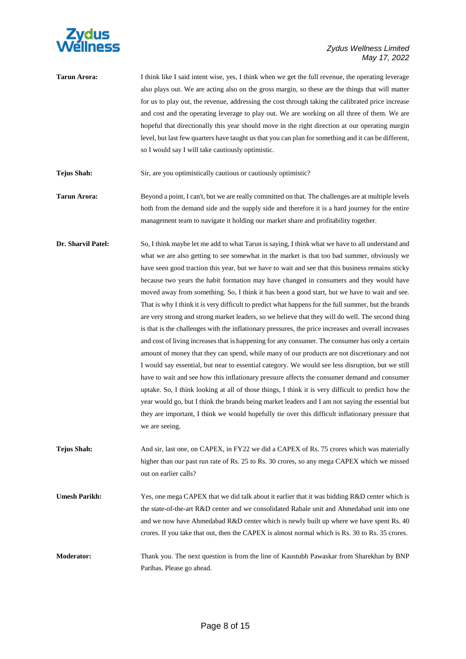

**Tarun Arora:** I think like I said intent wise, yes, I think when we get the full revenue, the operating leverage also plays out. We are acting also on the gross margin, so these are the things that will matter for us to play out, the revenue, addressing the cost through taking the calibrated price increase and cost and the operating leverage to play out. We are working on all three of them. We are hopeful that directionally this year should move in the right direction at our operating margin level, but last few quarters have taught us that you can plan for something and it can be different, so I would say I will take cautiously optimistic.

**Tejus Shah:** Sir, are you optimistically cautious or cautiously optimistic?

- **Tarun Arora:** Beyond a point, I can't, but we are really committed on that. The challenges are at multiple levels both from the demand side and the supply side and therefore it is a hard journey for the entire management team to navigate it holding our market share and profitability together.
- **Dr. Sharvil Patel:** So, I think maybe let me add to what Tarun is saying, I think what we have to all understand and what we are also getting to see somewhat in the market is that too bad summer, obviously we have seen good traction this year, but we have to wait and see that this business remains sticky because two years the habit formation may have changed in consumers and they would have moved away from something. So, I think it has been a good start, but we have to wait and see. That is why I think it is very difficult to predict what happens for the full summer, but the brands are very strong and strong market leaders, so we believe that they will do well. The second thing is that is the challenges with the inflationary pressures, the price increases and overall increases and cost of living increases that is happening for any consumer. The consumer has only a certain amount of money that they can spend, while many of our products are not discretionary and not I would say essential, but near to essential category. We would see less disruption, but we still have to wait and see how this inflationary pressure affects the consumer demand and consumer uptake. So, I think looking at all of those things, I think it is very difficult to predict how the year would go, but I think the brands being market leaders and I am not saying the essential but they are important, I think we would hopefully tie over this difficult inflationary pressure that we are seeing.
- **Tejus Shah:** And sir, last one, on CAPEX, in FY22 we did a CAPEX of Rs. 75 crores which was materially higher than our past run rate of Rs. 25 to Rs. 30 crores, so any mega CAPEX which we missed out on earlier calls?
- **Umesh Parikh:** Yes, one mega CAPEX that we did talk about it earlier that it was bidding R&D center which is the state-of-the-art R&D center and we consolidated Rabale unit and Ahmedabad unit into one and we now have Ahmedabad R&D center which is newly built up where we have spent Rs. 40 crores. If you take that out, then the CAPEX is almost normal which is Rs. 30 to Rs. 35 crores.
- **Moderator:** Thank you. The next question is from the line of Kaustubh Pawaskar from Sharekhan by BNP Paribas. Please go ahead.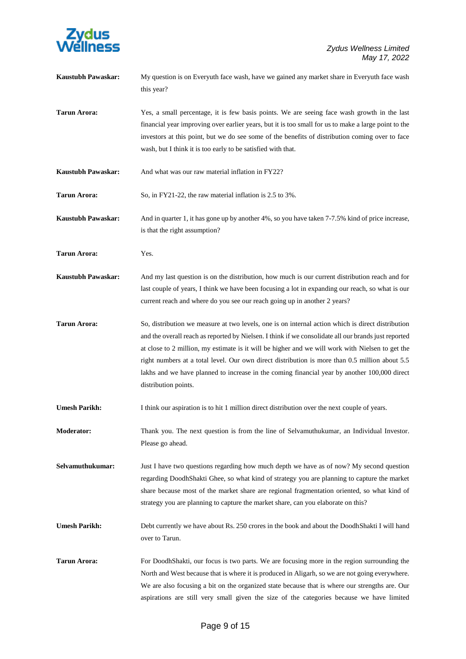

| Kaustubh Pawaskar:        | My question is on Everyuth face wash, have we gained any market share in Everyuth face wash<br>this year?                                                                                                                                                                                                                                                                                                                                                                                                                               |
|---------------------------|-----------------------------------------------------------------------------------------------------------------------------------------------------------------------------------------------------------------------------------------------------------------------------------------------------------------------------------------------------------------------------------------------------------------------------------------------------------------------------------------------------------------------------------------|
| <b>Tarun Arora:</b>       | Yes, a small percentage, it is few basis points. We are seeing face wash growth in the last<br>financial year improving over earlier years, but it is too small for us to make a large point to the<br>investors at this point, but we do see some of the benefits of distribution coming over to face<br>wash, but I think it is too early to be satisfied with that.                                                                                                                                                                  |
| <b>Kaustubh Pawaskar:</b> | And what was our raw material inflation in FY22?                                                                                                                                                                                                                                                                                                                                                                                                                                                                                        |
| <b>Tarun Arora:</b>       | So, in FY21-22, the raw material inflation is 2.5 to 3%.                                                                                                                                                                                                                                                                                                                                                                                                                                                                                |
| <b>Kaustubh Pawaskar:</b> | And in quarter 1, it has gone up by another 4%, so you have taken 7-7.5% kind of price increase,<br>is that the right assumption?                                                                                                                                                                                                                                                                                                                                                                                                       |
| <b>Tarun Arora:</b>       | Yes.                                                                                                                                                                                                                                                                                                                                                                                                                                                                                                                                    |
| <b>Kaustubh Pawaskar:</b> | And my last question is on the distribution, how much is our current distribution reach and for<br>last couple of years, I think we have been focusing a lot in expanding our reach, so what is our<br>current reach and where do you see our reach going up in another 2 years?                                                                                                                                                                                                                                                        |
| <b>Tarun Arora:</b>       | So, distribution we measure at two levels, one is on internal action which is direct distribution<br>and the overall reach as reported by Nielsen. I think if we consolidate all our brands just reported<br>at close to 2 million, my estimate is it will be higher and we will work with Nielsen to get the<br>right numbers at a total level. Our own direct distribution is more than 0.5 million about 5.5<br>lakhs and we have planned to increase in the coming financial year by another 100,000 direct<br>distribution points. |
| <b>Umesh Parikh:</b>      | I think our aspiration is to hit 1 million direct distribution over the next couple of years.                                                                                                                                                                                                                                                                                                                                                                                                                                           |
| <b>Moderator:</b>         | Thank you. The next question is from the line of Selvamuthukumar, an Individual Investor.<br>Please go ahead.                                                                                                                                                                                                                                                                                                                                                                                                                           |
| Selvamuthukumar:          | Just I have two questions regarding how much depth we have as of now? My second question<br>regarding DoodhShakti Ghee, so what kind of strategy you are planning to capture the market<br>share because most of the market share are regional fragmentation oriented, so what kind of<br>strategy you are planning to capture the market share, can you elaborate on this?                                                                                                                                                             |
| <b>Umesh Parikh:</b>      | Debt currently we have about Rs. 250 crores in the book and about the DoodhShakti I will hand<br>over to Tarun.                                                                                                                                                                                                                                                                                                                                                                                                                         |
| <b>Tarun Arora:</b>       | For DoodhShakti, our focus is two parts. We are focusing more in the region surrounding the<br>North and West because that is where it is produced in Aligarh, so we are not going everywhere.<br>We are also focusing a bit on the organized state because that is where our strengths are. Our<br>aspirations are still very small given the size of the categories because we have limited                                                                                                                                           |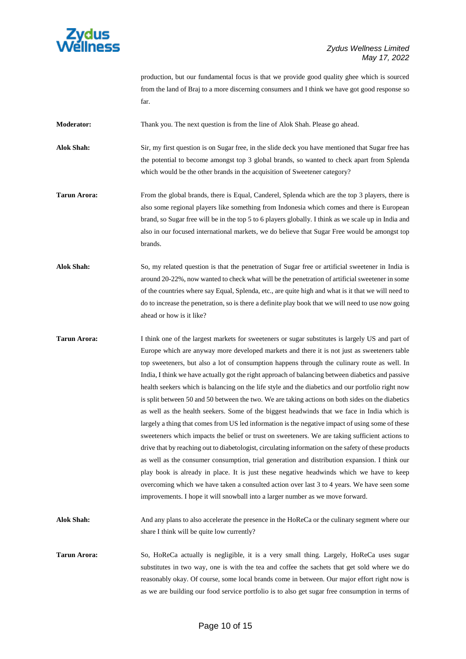

production, but our fundamental focus is that we provide good quality ghee which is sourced from the land of Braj to a more discerning consumers and I think we have got good response so far.

**Moderator:** Thank you. The next question is from the line of Alok Shah. Please go ahead.

**Alok Shah:** Sir, my first question is on Sugar free, in the slide deck you have mentioned that Sugar free has the potential to become amongst top 3 global brands, so wanted to check apart from Splenda which would be the other brands in the acquisition of Sweetener category?

- **Tarun Arora:** From the global brands, there is Equal, Canderel, Splenda which are the top 3 players, there is also some regional players like something from Indonesia which comes and there is European brand, so Sugar free will be in the top 5 to 6 players globally. I think as we scale up in India and also in our focused international markets, we do believe that Sugar Free would be amongst top brands.
- **Alok Shah:** So, my related question is that the penetration of Sugar free or artificial sweetener in India is around 20-22%, now wanted to check what will be the penetration of artificial sweetener in some of the countries where say Equal, Splenda, etc., are quite high and what is it that we will need to do to increase the penetration, so is there a definite play book that we will need to use now going ahead or how is it like?
- **Tarun Arora:** I think one of the largest markets for sweeteners or sugar substitutes is largely US and part of Europe which are anyway more developed markets and there it is not just as sweeteners table top sweeteners, but also a lot of consumption happens through the culinary route as well. In India, I think we have actually got the right approach of balancing between diabetics and passive health seekers which is balancing on the life style and the diabetics and our portfolio right now is split between 50 and 50 between the two. We are taking actions on both sides on the diabetics as well as the health seekers. Some of the biggest headwinds that we face in India which is largely a thing that comes from US led information is the negative impact of using some of these sweeteners which impacts the belief or trust on sweeteners. We are taking sufficient actions to drive that by reaching out to diabetologist, circulating information on the safety of these products as well as the consumer consumption, trial generation and distribution expansion. I think our play book is already in place. It is just these negative headwinds which we have to keep overcoming which we have taken a consulted action over last 3 to 4 years. We have seen some improvements. I hope it will snowball into a larger number as we move forward.
- **Alok Shah:** And any plans to also accelerate the presence in the HoReCa or the culinary segment where our share I think will be quite low currently?
- **Tarun Arora:** So, HoReCa actually is negligible, it is a very small thing. Largely, HoReCa uses sugar substitutes in two way, one is with the tea and coffee the sachets that get sold where we do reasonably okay. Of course, some local brands come in between. Our major effort right now is as we are building our food service portfolio is to also get sugar free consumption in terms of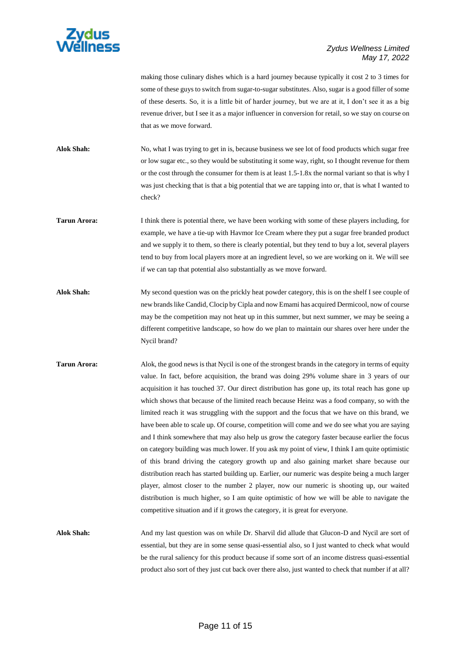

## *Zydus Wellness Limited May 17, 2022*

making those culinary dishes which is a hard journey because typically it cost 2 to 3 times for some of these guys to switch from sugar-to-sugar substitutes. Also, sugar is a good filler of some of these deserts. So, it is a little bit of harder journey, but we are at it, I don't see it as a big revenue driver, but I see it as a major influencer in conversion for retail, so we stay on course on that as we move forward.

**Alok Shah:** No, what I was trying to get in is, because business we see lot of food products which sugar free or low sugar etc., so they would be substituting it some way, right, so I thought revenue for them or the cost through the consumer for them is at least 1.5-1.8x the normal variant so that is why I was just checking that is that a big potential that we are tapping into or, that is what I wanted to check?

**Tarun Arora:** I think there is potential there, we have been working with some of these players including, for example, we have a tie-up with Havmor Ice Cream where they put a sugar free branded product and we supply it to them, so there is clearly potential, but they tend to buy a lot, several players tend to buy from local players more at an ingredient level, so we are working on it. We will see if we can tap that potential also substantially as we move forward.

- **Alok Shah:** My second question was on the prickly heat powder category, this is on the shelf I see couple of new brands like Candid, Clocip by Cipla and now Emami has acquired Dermicool, now of course may be the competition may not heat up in this summer, but next summer, we may be seeing a different competitive landscape, so how do we plan to maintain our shares over here under the Nycil brand?
- **Tarun Arora:** Alok, the good news is that Nycil is one of the strongest brands in the category in terms of equity value. In fact, before acquisition, the brand was doing 29% volume share in 3 years of our acquisition it has touched 37. Our direct distribution has gone up, its total reach has gone up which shows that because of the limited reach because Heinz was a food company, so with the limited reach it was struggling with the support and the focus that we have on this brand, we have been able to scale up. Of course, competition will come and we do see what you are saying and I think somewhere that may also help us grow the category faster because earlier the focus on category building was much lower. If you ask my point of view, I think I am quite optimistic of this brand driving the category growth up and also gaining market share because our distribution reach has started building up. Earlier, our numeric was despite being a much larger player, almost closer to the number 2 player, now our numeric is shooting up, our waited distribution is much higher, so I am quite optimistic of how we will be able to navigate the competitive situation and if it grows the category, it is great for everyone.

**Alok Shah:** And my last question was on while Dr. Sharvil did allude that Glucon-D and Nycil are sort of essential, but they are in some sense quasi-essential also, so I just wanted to check what would be the rural saliency for this product because if some sort of an income distress quasi-essential product also sort of they just cut back over there also, just wanted to check that number if at all?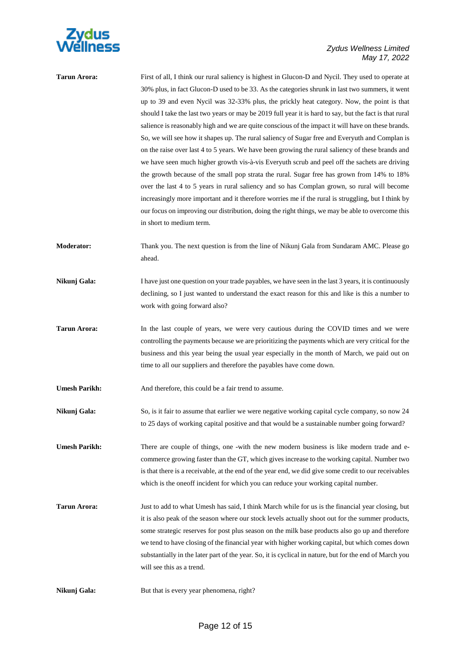

| Tarun Arora: | First of all, I think our rural saliency is highest in Glucon-D and Nycil. They used to operate at      |
|--------------|---------------------------------------------------------------------------------------------------------|
|              | 30% plus, in fact Glucon-D used to be 33. As the categories shrunk in last two summers, it went         |
|              | up to 39 and even Nycil was 32-33% plus, the prickly heat category. Now, the point is that              |
|              | should I take the last two years or may be 2019 full year it is hard to say, but the fact is that rural |
|              | salience is reasonably high and we are quite conscious of the impact it will have on these brands.      |
|              | So, we will see how it shapes up. The rural saliency of Sugar free and Everyuth and Complan is          |
|              | on the raise over last 4 to 5 years. We have been growing the rural saliency of these brands and        |
|              | we have seen much higher growth vis-à-vis Everyuth scrub and peel off the sachets are driving           |
|              | the growth because of the small pop strata the rural. Sugar free has grown from 14% to 18%              |
|              | over the last 4 to 5 years in rural saliency and so has Complan grown, so rural will become             |
|              | increasingly more important and it therefore worries me if the rural is struggling, but I think by      |
|              | our focus on improving our distribution, doing the right things, we may be able to overcome this        |
|              | in short to medium term.                                                                                |
|              |                                                                                                         |

- **Moderator:** Thank you. The next question is from the line of Nikunj Gala from Sundaram AMC. Please go ahead.
- **Nikunj Gala:** I have just one question on your trade payables, we have seen in the last 3 years, it is continuously declining, so I just wanted to understand the exact reason for this and like is this a number to work with going forward also?
- **Tarun Arora:** In the last couple of years, we were very cautious during the COVID times and we were controlling the payments because we are prioritizing the payments which are very critical for the business and this year being the usual year especially in the month of March, we paid out on time to all our suppliers and therefore the payables have come down.

**Umesh Parikh:** And therefore, this could be a fair trend to assume.

- **Nikunj Gala:** So, is it fair to assume that earlier we were negative working capital cycle company, so now 24 to 25 days of working capital positive and that would be a sustainable number going forward?
- Umesh Parikh: There are couple of things, one -with the new modern business is like modern trade and ecommerce growing faster than the GT, which gives increase to the working capital. Number two is that there is a receivable, at the end of the year end, we did give some credit to our receivables which is the oneoff incident for which you can reduce your working capital number.
- **Tarun Arora:** Just to add to what Umesh has said, I think March while for us is the financial year closing, but it is also peak of the season where our stock levels actually shoot out for the summer products, some strategic reserves for post plus season on the milk base products also go up and therefore we tend to have closing of the financial year with higher working capital, but which comes down substantially in the later part of the year. So, it is cyclical in nature, but for the end of March you will see this as a trend.

**Nikunj Gala:** But that is every year phenomena, right?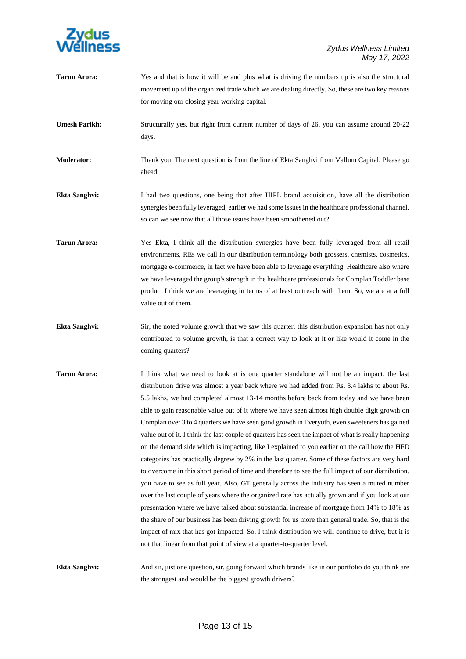

| <b>Tarun Arora:</b>  | Yes and that is how it will be and plus what is driving the numbers up is also the structural<br>movement up of the organized trade which we are dealing directly. So, these are two key reasons<br>for moving our closing year working capital.                                                                                                                                                                                                                                                                                                                                                                                                                                                                                                                                                                                                                                                                                                                                                                                                                                                                                                                                                                                                                                                                                                                                                                                                                                                   |
|----------------------|----------------------------------------------------------------------------------------------------------------------------------------------------------------------------------------------------------------------------------------------------------------------------------------------------------------------------------------------------------------------------------------------------------------------------------------------------------------------------------------------------------------------------------------------------------------------------------------------------------------------------------------------------------------------------------------------------------------------------------------------------------------------------------------------------------------------------------------------------------------------------------------------------------------------------------------------------------------------------------------------------------------------------------------------------------------------------------------------------------------------------------------------------------------------------------------------------------------------------------------------------------------------------------------------------------------------------------------------------------------------------------------------------------------------------------------------------------------------------------------------------|
| <b>Umesh Parikh:</b> | Structurally yes, but right from current number of days of 26, you can assume around 20-22<br>days.                                                                                                                                                                                                                                                                                                                                                                                                                                                                                                                                                                                                                                                                                                                                                                                                                                                                                                                                                                                                                                                                                                                                                                                                                                                                                                                                                                                                |
| <b>Moderator:</b>    | Thank you. The next question is from the line of Ekta Sanghvi from Vallum Capital. Please go<br>ahead.                                                                                                                                                                                                                                                                                                                                                                                                                                                                                                                                                                                                                                                                                                                                                                                                                                                                                                                                                                                                                                                                                                                                                                                                                                                                                                                                                                                             |
| Ekta Sanghvi:        | I had two questions, one being that after HIPL brand acquisition, have all the distribution<br>synergies been fully leveraged, earlier we had some issues in the healthcare professional channel,<br>so can we see now that all those issues have been smoothened out?                                                                                                                                                                                                                                                                                                                                                                                                                                                                                                                                                                                                                                                                                                                                                                                                                                                                                                                                                                                                                                                                                                                                                                                                                             |
| <b>Tarun Arora:</b>  | Yes Ekta, I think all the distribution synergies have been fully leveraged from all retail<br>environments, REs we call in our distribution terminology both grossers, chemists, cosmetics,<br>mortgage e-commerce, in fact we have been able to leverage everything. Healthcare also where<br>we have leveraged the group's strength in the healthcare professionals for Complan Toddler base<br>product I think we are leveraging in terms of at least outreach with them. So, we are at a full<br>value out of them.                                                                                                                                                                                                                                                                                                                                                                                                                                                                                                                                                                                                                                                                                                                                                                                                                                                                                                                                                                            |
| <b>Ekta Sanghvi:</b> | Sir, the noted volume growth that we saw this quarter, this distribution expansion has not only<br>contributed to volume growth, is that a correct way to look at it or like would it come in the<br>coming quarters?                                                                                                                                                                                                                                                                                                                                                                                                                                                                                                                                                                                                                                                                                                                                                                                                                                                                                                                                                                                                                                                                                                                                                                                                                                                                              |
| <b>Tarun Arora:</b>  | I think what we need to look at is one quarter standalone will not be an impact, the last<br>distribution drive was almost a year back where we had added from Rs. 3.4 lakhs to about Rs.<br>5.5 lakhs, we had completed almost 13-14 months before back from today and we have been<br>able to gain reasonable value out of it where we have seen almost high double digit growth on<br>Complan over 3 to 4 quarters we have seen good growth in Everyuth, even sweeteners has gained<br>value out of it. I think the last couple of quarters has seen the impact of what is really happening<br>on the demand side which is impacting, like I explained to you earlier on the call how the HFD<br>categories has practically degrew by 2% in the last quarter. Some of these factors are very hard<br>to overcome in this short period of time and therefore to see the full impact of our distribution,<br>you have to see as full year. Also, GT generally across the industry has seen a muted number<br>over the last couple of years where the organized rate has actually grown and if you look at our<br>presentation where we have talked about substantial increase of mortgage from 14% to 18% as<br>the share of our business has been driving growth for us more than general trade. So, that is the<br>impact of mix that has got impacted. So, I think distribution we will continue to drive, but it is<br>not that linear from that point of view at a quarter-to-quarter level. |
| <b>Ekta Sanghvi:</b> | And sir, just one question, sir, going forward which brands like in our portfolio do you think are<br>the strongest and would be the biggest growth drivers?                                                                                                                                                                                                                                                                                                                                                                                                                                                                                                                                                                                                                                                                                                                                                                                                                                                                                                                                                                                                                                                                                                                                                                                                                                                                                                                                       |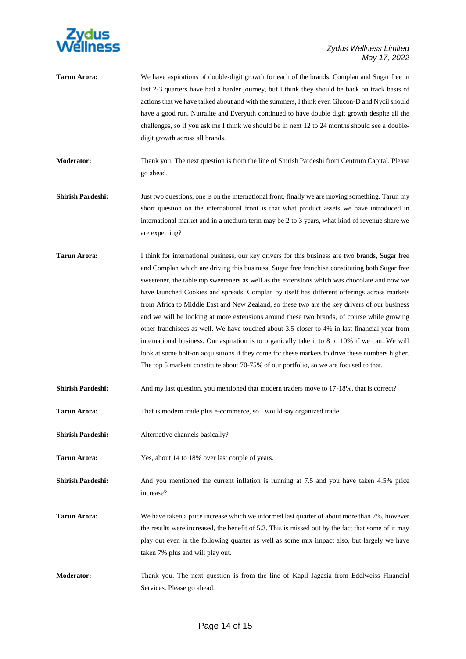

| <b>Tarun Arora:</b>      | We have aspirations of double-digit growth for each of the brands. Complan and Sugar free in<br>last 2-3 quarters have had a harder journey, but I think they should be back on track basis of<br>actions that we have talked about and with the summers, I think even Glucon-D and Nycil should<br>have a good run. Nutralite and Everyuth continued to have double digit growth despite all the<br>challenges, so if you ask me I think we should be in next 12 to 24 months should see a double-<br>digit growth across all brands.                                                                                                                                                                                                                                                                                                                                                                                                                                                           |
|--------------------------|--------------------------------------------------------------------------------------------------------------------------------------------------------------------------------------------------------------------------------------------------------------------------------------------------------------------------------------------------------------------------------------------------------------------------------------------------------------------------------------------------------------------------------------------------------------------------------------------------------------------------------------------------------------------------------------------------------------------------------------------------------------------------------------------------------------------------------------------------------------------------------------------------------------------------------------------------------------------------------------------------|
| Moderator:               | Thank you. The next question is from the line of Shirish Pardeshi from Centrum Capital. Please<br>go ahead.                                                                                                                                                                                                                                                                                                                                                                                                                                                                                                                                                                                                                                                                                                                                                                                                                                                                                      |
| <b>Shirish Pardeshi:</b> | Just two questions, one is on the international front, finally we are moving something, Tarun my<br>short question on the international front is that what product assets we have introduced in<br>international market and in a medium term may be 2 to 3 years, what kind of revenue share we<br>are expecting?                                                                                                                                                                                                                                                                                                                                                                                                                                                                                                                                                                                                                                                                                |
| <b>Tarun Arora:</b>      | I think for international business, our key drivers for this business are two brands, Sugar free<br>and Complan which are driving this business, Sugar free franchise constituting both Sugar free<br>sweetener, the table top sweeteners as well as the extensions which was chocolate and now we<br>have launched Cookies and spreads. Complan by itself has different offerings across markets<br>from Africa to Middle East and New Zealand, so these two are the key drivers of our business<br>and we will be looking at more extensions around these two brands, of course while growing<br>other franchisees as well. We have touched about 3.5 closer to 4% in last financial year from<br>international business. Our aspiration is to organically take it to 8 to 10% if we can. We will<br>look at some bolt-on acquisitions if they come for these markets to drive these numbers higher.<br>The top 5 markets constitute about 70-75% of our portfolio, so we are focused to that. |
| <b>Shirish Pardeshi:</b> | And my last question, you mentioned that modern traders move to 17-18%, that is correct?                                                                                                                                                                                                                                                                                                                                                                                                                                                                                                                                                                                                                                                                                                                                                                                                                                                                                                         |
| <b>Tarun Arora:</b>      | That is modern trade plus e-commerce, so I would say organized trade.                                                                                                                                                                                                                                                                                                                                                                                                                                                                                                                                                                                                                                                                                                                                                                                                                                                                                                                            |
| <b>Shirish Pardeshi:</b> | Alternative channels basically?                                                                                                                                                                                                                                                                                                                                                                                                                                                                                                                                                                                                                                                                                                                                                                                                                                                                                                                                                                  |
| <b>Tarun Arora:</b>      | Yes, about 14 to 18% over last couple of years.                                                                                                                                                                                                                                                                                                                                                                                                                                                                                                                                                                                                                                                                                                                                                                                                                                                                                                                                                  |
| <b>Shirish Pardeshi:</b> | And you mentioned the current inflation is running at 7.5 and you have taken 4.5% price<br>increase?                                                                                                                                                                                                                                                                                                                                                                                                                                                                                                                                                                                                                                                                                                                                                                                                                                                                                             |
| <b>Tarun Arora:</b>      | We have taken a price increase which we informed last quarter of about more than 7%, however<br>the results were increased, the benefit of 5.3. This is missed out by the fact that some of it may<br>play out even in the following quarter as well as some mix impact also, but largely we have<br>taken 7% plus and will play out.                                                                                                                                                                                                                                                                                                                                                                                                                                                                                                                                                                                                                                                            |
| <b>Moderator:</b>        | Thank you. The next question is from the line of Kapil Jagasia from Edelweiss Financial<br>Services. Please go ahead.                                                                                                                                                                                                                                                                                                                                                                                                                                                                                                                                                                                                                                                                                                                                                                                                                                                                            |